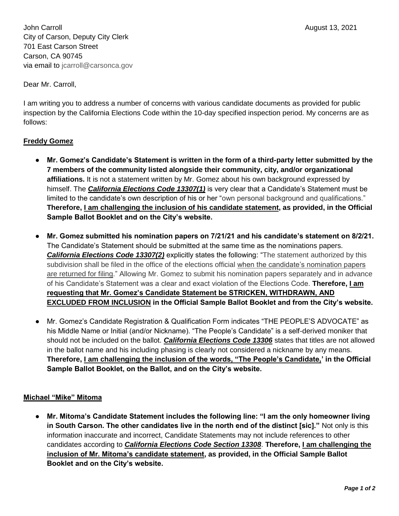John Carroll August 13, 2021 City of Carson, Deputy City Clerk 701 East Carson Street Carson, CA 90745 via email to jcarroll@carsonca.gov

## Dear Mr. Carroll,

I am writing you to address a number of concerns with various candidate documents as provided for public inspection by the California Elections Code within the 10-day specified inspection period. My concerns are as follows:

## **Freddy Gomez**

- **Mr. Gomez's Candidate's Statement is written in the form of a third-party letter submitted by the 7 members of the community listed alongside their community, city, and/or organizational affiliations.** It is not a statement written by Mr. Gomez about his own background expressed by himself. The *California Elections Code 13307(1)* is very clear that a Candidate's Statement must be limited to the candidate's own description of his or her "own personal background and qualifications." **Therefore, I am challenging the inclusion of his candidate statement, as provided, in the Official Sample Ballot Booklet and on the City's website.**
- **Mr. Gomez submitted his nomination papers on 7/21/21 and his candidate's statement on 8/2/21.**  The Candidate's Statement should be submitted at the same time as the nominations papers. *California Elections Code 13307(2)* explicitly states the following: "The statement authorized by this subdivision shall be filed in the office of the elections official when the candidate's nomination papers are returned for filing." Allowing Mr. Gomez to submit his nomination papers separately and in advance of his Candidate's Statement was a clear and exact violation of the Elections Code. **Therefore, I am requesting that Mr. Gomez's Candidate Statement be STRICKEN, WITHDRAWN, AND EXCLUDED FROM INCLUSION in the Official Sample Ballot Booklet and from the City's website.**
- Mr. Gomez's Candidate Registration & Qualification Form indicates "THE PEOPLE'S ADVOCATE" as his Middle Name or Initial (and/or Nickname). "The People's Candidate" is a self-derived moniker that should not be included on the ballot. *California Elections Code 13306* states that titles are not allowed in the ballot name and his including phasing is clearly not considered a nickname by any means. **Therefore, I am challenging the inclusion of the words, "The People's Candidate,' in the Official Sample Ballot Booklet, on the Ballot, and on the City's website.**

## **Michael "Mike" Mitoma**

● **Mr. Mitoma's Candidate Statement includes the following line: "I am the only homeowner living in South Carson. The other candidates live in the north end of the distinct [sic]."** Not only is this information inaccurate and incorrect, Candidate Statements may not include references to other candidates according to *California Elections Code Section 13308*. **Therefore, I am challenging the inclusion of Mr. Mitoma's candidate statement, as provided, in the Official Sample Ballot Booklet and on the City's website.**